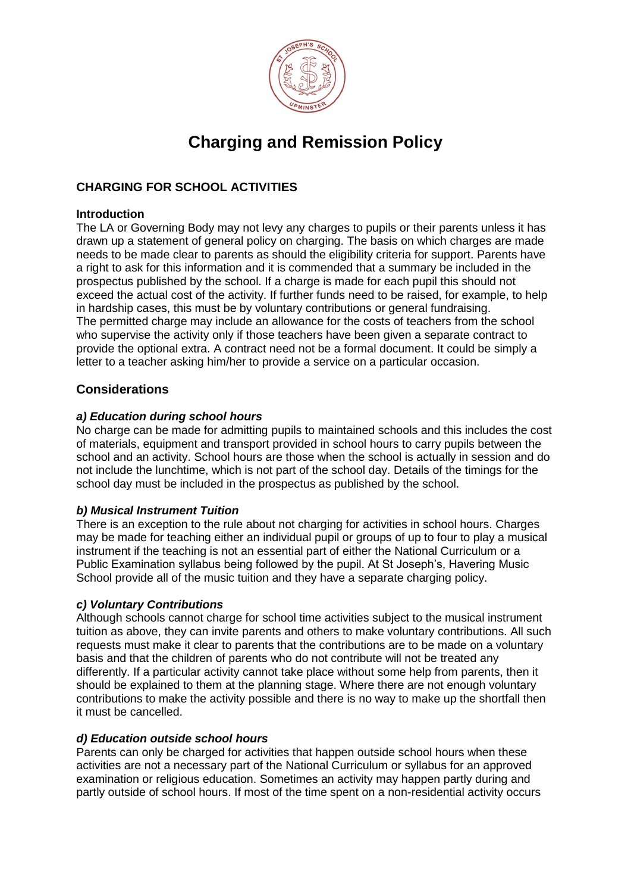

# **Charging and Remission Policy**

# **CHARGING FOR SCHOOL ACTIVITIES**

# **Introduction**

The LA or Governing Body may not levy any charges to pupils or their parents unless it has drawn up a statement of general policy on charging. The basis on which charges are made needs to be made clear to parents as should the eligibility criteria for support. Parents have a right to ask for this information and it is commended that a summary be included in the prospectus published by the school. If a charge is made for each pupil this should not exceed the actual cost of the activity. If further funds need to be raised, for example, to help in hardship cases, this must be by voluntary contributions or general fundraising. The permitted charge may include an allowance for the costs of teachers from the school who supervise the activity only if those teachers have been given a separate contract to provide the optional extra. A contract need not be a formal document. It could be simply a letter to a teacher asking him/her to provide a service on a particular occasion.

# **Considerations**

# *a) Education during school hours*

No charge can be made for admitting pupils to maintained schools and this includes the cost of materials, equipment and transport provided in school hours to carry pupils between the school and an activity. School hours are those when the school is actually in session and do not include the lunchtime, which is not part of the school day. Details of the timings for the school day must be included in the prospectus as published by the school.

# *b) Musical Instrument Tuition*

There is an exception to the rule about not charging for activities in school hours. Charges may be made for teaching either an individual pupil or groups of up to four to play a musical instrument if the teaching is not an essential part of either the National Curriculum or a Public Examination syllabus being followed by the pupil. At St Joseph's, Havering Music School provide all of the music tuition and they have a separate charging policy.

# *c) Voluntary Contributions*

Although schools cannot charge for school time activities subject to the musical instrument tuition as above, they can invite parents and others to make voluntary contributions. All such requests must make it clear to parents that the contributions are to be made on a voluntary basis and that the children of parents who do not contribute will not be treated any differently. If a particular activity cannot take place without some help from parents, then it should be explained to them at the planning stage. Where there are not enough voluntary contributions to make the activity possible and there is no way to make up the shortfall then it must be cancelled.

# *d) Education outside school hours*

Parents can only be charged for activities that happen outside school hours when these activities are not a necessary part of the National Curriculum or syllabus for an approved examination or religious education. Sometimes an activity may happen partly during and partly outside of school hours. If most of the time spent on a non-residential activity occurs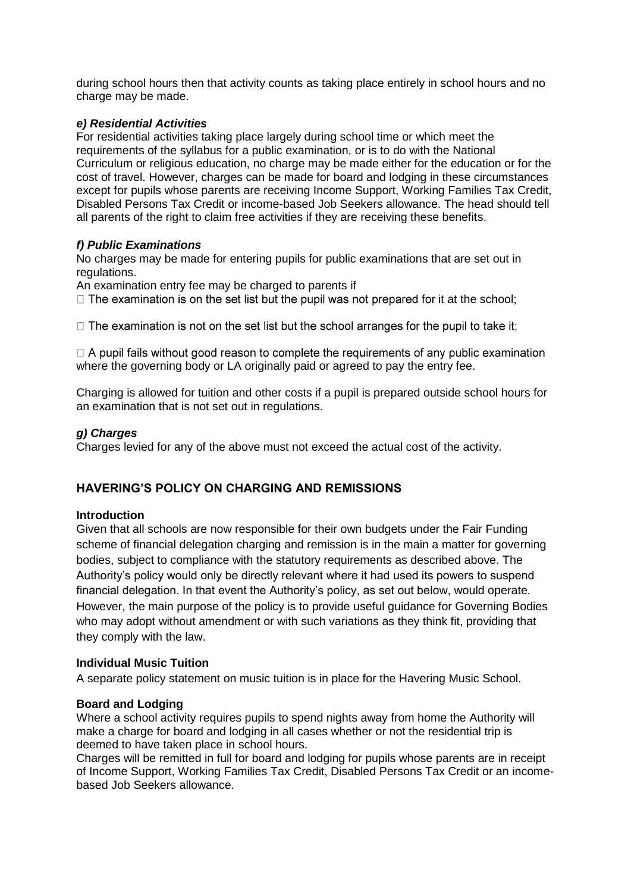during school hours then that activity counts as taking place entirely in school hours and no charge may be made.

# *e) Residential Activities*

For residential activities taking place largely during school time or which meet the requirements of the syllabus for a public examination, or is to do with the National Curriculum or religious education, no charge may be made either for the education or for the cost of travel. However, charges can be made for board and lodging in these circumstances except for pupils whose parents are receiving Income Support, Working Families Tax Credit, Disabled Persons Tax Credit or income-based Job Seekers allowance. The head should tell all parents of the right to claim free activities if they are receiving these benefits.

#### *f) Public Examinations*

No charges may be made for entering pupils for public examinations that are set out in regulations.

An examination entry fee may be charged to parents if

 $\Box$  The examination is on the set list but the pupil was not prepared for it at the school;

 $\Box$  The examination is not on the set list but the school arranges for the pupil to take it;

 $\Box$  A pupil fails without good reason to complete the requirements of any public examination where the governing body or LA originally paid or agreed to pay the entry fee.

Charging is allowed for tuition and other costs if a pupil is prepared outside school hours for an examination that is not set out in regulations.

#### *g) Charges*

Charges levied for any of the above must not exceed the actual cost of the activity.

# **HAVERING'S POLICY ON CHARGING AND REMISSIONS**

#### **Introduction**

Given that all schools are now responsible for their own budgets under the Fair Funding scheme of financial delegation charging and remission is in the main a matter for governing bodies, subject to compliance with the statutory requirements as described above. The Authority's policy would only be directly relevant where it had used its powers to suspend financial delegation. In that event the Authority's policy, as set out below, would operate. However, the main purpose of the policy is to provide useful guidance for Governing Bodies who may adopt without amendment or with such variations as they think fit, providing that they comply with the law.

#### **Individual Music Tuition**

A separate policy statement on music tuition is in place for the Havering Music School.

#### **Board and Lodging**

Where a school activity requires pupils to spend nights away from home the Authority will make a charge for board and lodging in all cases whether or not the residential trip is deemed to have taken place in school hours.

Charges will be remitted in full for board and lodging for pupils whose parents are in receipt of Income Support, Working Families Tax Credit, Disabled Persons Tax Credit or an incomebased Job Seekers allowance.